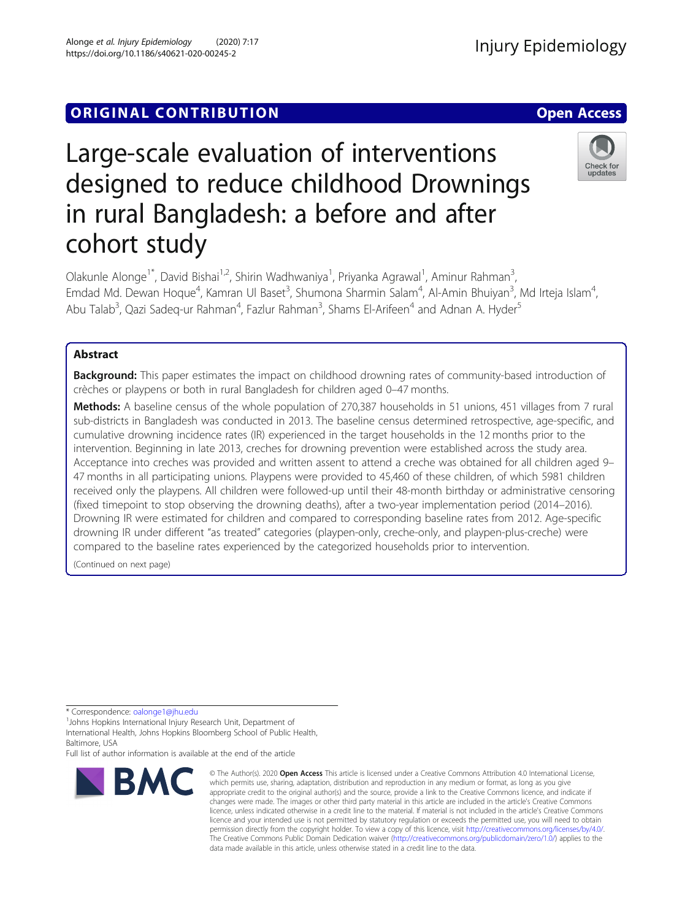## **ORIGINAL CONTRIBUTION CONTRIBUTION CONTRIBUTION**

# Large-scale evaluation of interventions designed to reduce childhood Drownings in rural Bangladesh: a before and after cohort study

Olakunle Alonge<sup>1\*</sup>, David Bishai<sup>1,2</sup>, Shirin Wadhwaniya<sup>1</sup>, Priyanka Agrawal<sup>1</sup>, Aminur Rahman<sup>3</sup> , Emdad Md. Dewan Hoque<sup>4</sup>, Kamran UI Baset<sup>3</sup>, Shumona Sharmin Salam<sup>4</sup>, Al-Amin Bhuiyan<sup>3</sup>, Md Irteja Islam<sup>4</sup> , Abu Talab<sup>3</sup>, Qazi Sadeq-ur Rahman<sup>4</sup>, Fazlur Rahman<sup>3</sup>, Shams El-Arifeen<sup>4</sup> and Adnan A. Hyder<sup>5</sup>

## Abstract

**Background:** This paper estimates the impact on childhood drowning rates of community-based introduction of crèches or playpens or both in rural Bangladesh for children aged 0–47 months.

Methods: A baseline census of the whole population of 270,387 households in 51 unions, 451 villages from 7 rural sub-districts in Bangladesh was conducted in 2013. The baseline census determined retrospective, age-specific, and cumulative drowning incidence rates (IR) experienced in the target households in the 12 months prior to the intervention. Beginning in late 2013, creches for drowning prevention were established across the study area. Acceptance into creches was provided and written assent to attend a creche was obtained for all children aged 9– 47 months in all participating unions. Playpens were provided to 45,460 of these children, of which 5981 children received only the playpens. All children were followed-up until their 48-month birthday or administrative censoring (fixed timepoint to stop observing the drowning deaths), after a two-year implementation period (2014–2016). Drowning IR were estimated for children and compared to corresponding baseline rates from 2012. Age-specific drowning IR under different "as treated" categories (playpen-only, creche-only, and playpen-plus-creche) were compared to the baseline rates experienced by the categorized households prior to intervention.

(Continued on next page)

\* Correspondence: [oalonge1@jhu.edu](mailto:oalonge1@jhu.edu) <sup>1</sup>

<sup>1</sup>Johns Hopkins International Injury Research Unit, Department of

International Health, Johns Hopkins Bloomberg School of Public Health, Baltimore, USA

#### © The Author(s), 2020 **Open Access** This article is licensed under a Creative Commons Attribution 4.0 International License, which permits use, sharing, adaptation, distribution and reproduction in any medium or format, as long as you give appropriate credit to the original author(s) and the source, provide a link to the Creative Commons licence, and indicate if changes were made. The images or other third party material in this article are included in the article's Creative Commons licence, unless indicated otherwise in a credit line to the material. If material is not included in the article's Creative Commons licence and your intended use is not permitted by statutory regulation or exceeds the permitted use, you will need to obtain permission directly from the copyright holder. To view a copy of this licence, visit [http://creativecommons.org/licenses/by/4.0/.](http://creativecommons.org/licenses/by/4.0/) The Creative Commons Public Domain Dedication waiver [\(http://creativecommons.org/publicdomain/zero/1.0/](http://creativecommons.org/publicdomain/zero/1.0/)) applies to the data made available in this article, unless otherwise stated in a credit line to the data.

**BMC** 

Full list of author information is available at the end of the article





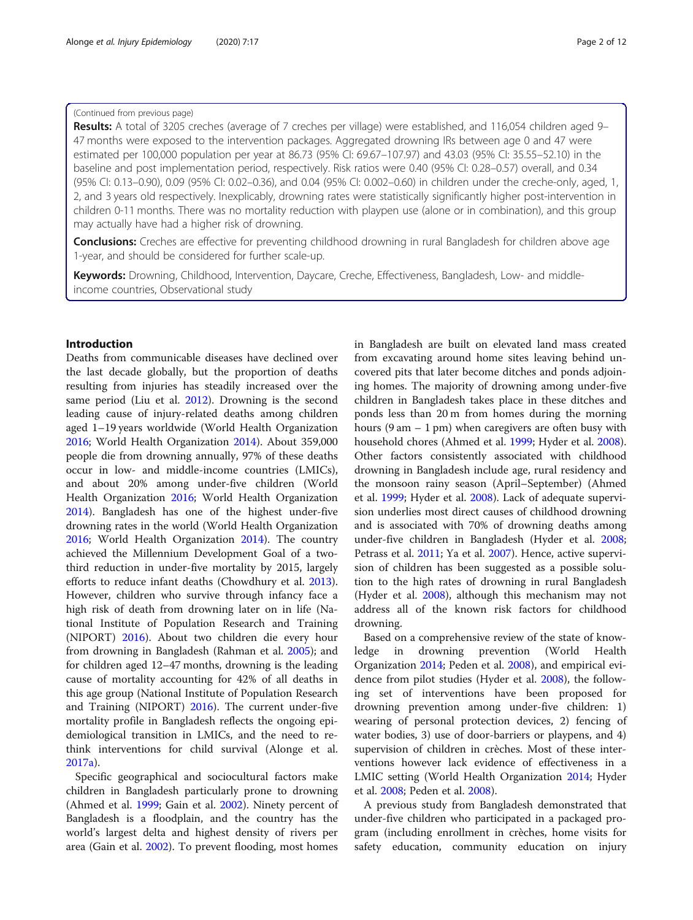## (Continued from previous page)

Results: A total of 3205 creches (average of 7 creches per village) were established, and 116,054 children aged 9-47 months were exposed to the intervention packages. Aggregated drowning IRs between age 0 and 47 were estimated per 100,000 population per year at 86.73 (95% CI: 69.67–107.97) and 43.03 (95% CI: 35.55–52.10) in the baseline and post implementation period, respectively. Risk ratios were 0.40 (95% CI: 0.28–0.57) overall, and 0.34 (95% CI: 0.13–0.90), 0.09 (95% CI: 0.02–0.36), and 0.04 (95% CI: 0.002–0.60) in children under the creche-only, aged, 1, 2, and 3 years old respectively. Inexplicably, drowning rates were statistically significantly higher post-intervention in children 0-11 months. There was no mortality reduction with playpen use (alone or in combination), and this group may actually have had a higher risk of drowning.

**Conclusions:** Creches are effective for preventing childhood drowning in rural Bangladesh for children above age 1-year, and should be considered for further scale-up.

Keywords: Drowning, Childhood, Intervention, Daycare, Creche, Effectiveness, Bangladesh, Low- and middleincome countries, Observational study

## Introduction

Deaths from communicable diseases have declined over the last decade globally, but the proportion of deaths resulting from injuries has steadily increased over the same period (Liu et al. [2012\)](#page-10-0). Drowning is the second leading cause of injury-related deaths among children aged 1–19 years worldwide (World Health Organization [2016](#page-11-0); World Health Organization [2014](#page-11-0)). About 359,000 people die from drowning annually, 97% of these deaths occur in low- and middle-income countries (LMICs), and about 20% among under-five children (World Health Organization [2016;](#page-11-0) World Health Organization [2014](#page-11-0)). Bangladesh has one of the highest under-five drowning rates in the world (World Health Organization [2016](#page-11-0); World Health Organization [2014\)](#page-11-0). The country achieved the Millennium Development Goal of a twothird reduction in under-five mortality by 2015, largely efforts to reduce infant deaths (Chowdhury et al. [2013](#page-10-0)). However, children who survive through infancy face a high risk of death from drowning later on in life (National Institute of Population Research and Training (NIPORT) [2016\)](#page-11-0). About two children die every hour from drowning in Bangladesh (Rahman et al. [2005\)](#page-11-0); and for children aged 12–47 months, drowning is the leading cause of mortality accounting for 42% of all deaths in this age group (National Institute of Population Research and Training (NIPORT) [2016](#page-11-0)). The current under-five mortality profile in Bangladesh reflects the ongoing epidemiological transition in LMICs, and the need to rethink interventions for child survival (Alonge et al. [2017a\)](#page-10-0).

Specific geographical and sociocultural factors make children in Bangladesh particularly prone to drowning (Ahmed et al. [1999;](#page-10-0) Gain et al. [2002\)](#page-10-0). Ninety percent of Bangladesh is a floodplain, and the country has the world's largest delta and highest density of rivers per area (Gain et al. [2002\)](#page-10-0). To prevent flooding, most homes

in Bangladesh are built on elevated land mass created from excavating around home sites leaving behind uncovered pits that later become ditches and ponds adjoining homes. The majority of drowning among under-five children in Bangladesh takes place in these ditches and ponds less than 20 m from homes during the morning hours  $(9 \text{ am} - 1 \text{ pm})$  when caregivers are often busy with household chores (Ahmed et al. [1999;](#page-10-0) Hyder et al. [2008](#page-10-0)). Other factors consistently associated with childhood drowning in Bangladesh include age, rural residency and the monsoon rainy season (April–September) (Ahmed et al. [1999](#page-10-0); Hyder et al. [2008\)](#page-10-0). Lack of adequate supervision underlies most direct causes of childhood drowning and is associated with 70% of drowning deaths among under-five children in Bangladesh (Hyder et al. [2008](#page-10-0); Petrass et al. [2011;](#page-11-0) Ya et al. [2007\)](#page-11-0). Hence, active supervision of children has been suggested as a possible solution to the high rates of drowning in rural Bangladesh (Hyder et al. [2008\)](#page-10-0), although this mechanism may not address all of the known risk factors for childhood drowning.

Based on a comprehensive review of the state of knowledge in drowning prevention (World Health Organization [2014;](#page-11-0) Peden et al. [2008](#page-11-0)), and empirical evidence from pilot studies (Hyder et al. [2008\)](#page-10-0), the following set of interventions have been proposed for drowning prevention among under-five children: 1) wearing of personal protection devices, 2) fencing of water bodies, 3) use of door-barriers or playpens, and 4) supervision of children in crèches. Most of these interventions however lack evidence of effectiveness in a LMIC setting (World Health Organization [2014](#page-11-0); Hyder et al. [2008;](#page-10-0) Peden et al. [2008](#page-11-0)).

A previous study from Bangladesh demonstrated that under-five children who participated in a packaged program (including enrollment in crèches, home visits for safety education, community education on injury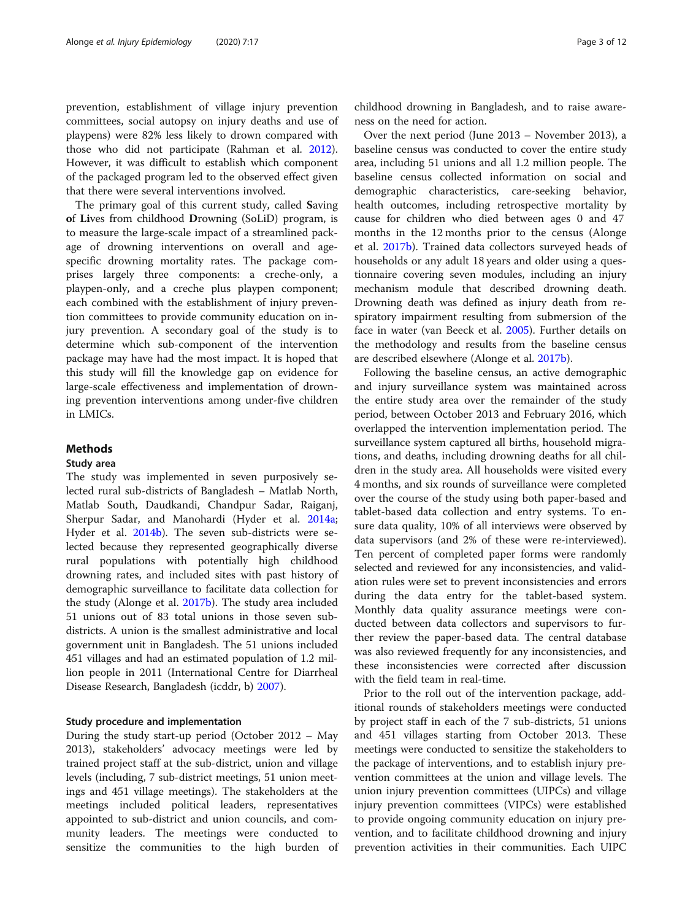prevention, establishment of village injury prevention committees, social autopsy on injury deaths and use of playpens) were 82% less likely to drown compared with those who did not participate (Rahman et al. [2012](#page-11-0)). However, it was difficult to establish which component of the packaged program led to the observed effect given that there were several interventions involved.

The primary goal of this current study, called Saving of Lives from childhood Drowning (SoLiD) program, is to measure the large-scale impact of a streamlined package of drowning interventions on overall and agespecific drowning mortality rates. The package comprises largely three components: a creche-only, a playpen-only, and a creche plus playpen component; each combined with the establishment of injury prevention committees to provide community education on injury prevention. A secondary goal of the study is to determine which sub-component of the intervention package may have had the most impact. It is hoped that this study will fill the knowledge gap on evidence for large-scale effectiveness and implementation of drowning prevention interventions among under-five children in LMICs.

## **Methods**

## Study area

The study was implemented in seven purposively selected rural sub-districts of Bangladesh – Matlab North, Matlab South, Daudkandi, Chandpur Sadar, Raiganj, Sherpur Sadar, and Manohardi (Hyder et al. [2014a](#page-10-0); Hyder et al. [2014b](#page-10-0)). The seven sub-districts were selected because they represented geographically diverse rural populations with potentially high childhood drowning rates, and included sites with past history of demographic surveillance to facilitate data collection for the study (Alonge et al. [2017b\)](#page-10-0). The study area included 51 unions out of 83 total unions in those seven subdistricts. A union is the smallest administrative and local government unit in Bangladesh. The 51 unions included 451 villages and had an estimated population of 1.2 million people in 2011 (International Centre for Diarrheal Disease Research, Bangladesh (icddr, b) [2007\)](#page-10-0).

## Study procedure and implementation

During the study start-up period (October 2012 – May 2013), stakeholders' advocacy meetings were led by trained project staff at the sub-district, union and village levels (including, 7 sub-district meetings, 51 union meetings and 451 village meetings). The stakeholders at the meetings included political leaders, representatives appointed to sub-district and union councils, and community leaders. The meetings were conducted to sensitize the communities to the high burden of

childhood drowning in Bangladesh, and to raise awareness on the need for action.

Over the next period (June 2013 – November 2013), a baseline census was conducted to cover the entire study area, including 51 unions and all 1.2 million people. The baseline census collected information on social and demographic characteristics, care-seeking behavior, health outcomes, including retrospective mortality by cause for children who died between ages 0 and 47 months in the 12 months prior to the census (Alonge et al. [2017b](#page-10-0)). Trained data collectors surveyed heads of households or any adult 18 years and older using a questionnaire covering seven modules, including an injury mechanism module that described drowning death. Drowning death was defined as injury death from respiratory impairment resulting from submersion of the face in water (van Beeck et al. [2005\)](#page-11-0). Further details on the methodology and results from the baseline census are described elsewhere (Alonge et al. [2017b](#page-10-0)).

Following the baseline census, an active demographic and injury surveillance system was maintained across the entire study area over the remainder of the study period, between October 2013 and February 2016, which overlapped the intervention implementation period. The surveillance system captured all births, household migrations, and deaths, including drowning deaths for all children in the study area. All households were visited every 4 months, and six rounds of surveillance were completed over the course of the study using both paper-based and tablet-based data collection and entry systems. To ensure data quality, 10% of all interviews were observed by data supervisors (and 2% of these were re-interviewed). Ten percent of completed paper forms were randomly selected and reviewed for any inconsistencies, and validation rules were set to prevent inconsistencies and errors during the data entry for the tablet-based system. Monthly data quality assurance meetings were conducted between data collectors and supervisors to further review the paper-based data. The central database was also reviewed frequently for any inconsistencies, and these inconsistencies were corrected after discussion with the field team in real-time.

Prior to the roll out of the intervention package, additional rounds of stakeholders meetings were conducted by project staff in each of the 7 sub-districts, 51 unions and 451 villages starting from October 2013. These meetings were conducted to sensitize the stakeholders to the package of interventions, and to establish injury prevention committees at the union and village levels. The union injury prevention committees (UIPCs) and village injury prevention committees (VIPCs) were established to provide ongoing community education on injury prevention, and to facilitate childhood drowning and injury prevention activities in their communities. Each UIPC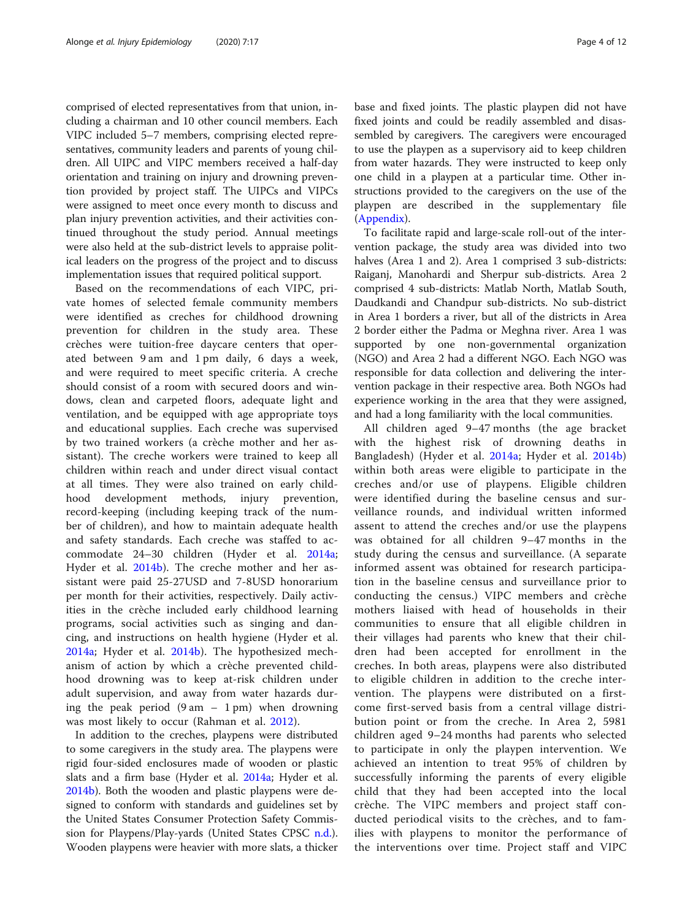comprised of elected representatives from that union, including a chairman and 10 other council members. Each VIPC included 5–7 members, comprising elected representatives, community leaders and parents of young children. All UIPC and VIPC members received a half-day orientation and training on injury and drowning prevention provided by project staff. The UIPCs and VIPCs were assigned to meet once every month to discuss and plan injury prevention activities, and their activities continued throughout the study period. Annual meetings were also held at the sub-district levels to appraise political leaders on the progress of the project and to discuss implementation issues that required political support.

Based on the recommendations of each VIPC, private homes of selected female community members were identified as creches for childhood drowning prevention for children in the study area. These crèches were tuition-free daycare centers that operated between 9 am and 1 pm daily, 6 days a week, and were required to meet specific criteria. A creche should consist of a room with secured doors and windows, clean and carpeted floors, adequate light and ventilation, and be equipped with age appropriate toys and educational supplies. Each creche was supervised by two trained workers (a crèche mother and her assistant). The creche workers were trained to keep all children within reach and under direct visual contact at all times. They were also trained on early childhood development methods, injury prevention, record-keeping (including keeping track of the number of children), and how to maintain adequate health and safety standards. Each creche was staffed to accommodate 24–30 children (Hyder et al. [2014a](#page-10-0); Hyder et al. [2014b\)](#page-10-0). The creche mother and her assistant were paid 25-27USD and 7-8USD honorarium per month for their activities, respectively. Daily activities in the crèche included early childhood learning programs, social activities such as singing and dancing, and instructions on health hygiene (Hyder et al. [2014a](#page-10-0); Hyder et al. [2014b](#page-10-0)). The hypothesized mechanism of action by which a crèche prevented childhood drowning was to keep at-risk children under adult supervision, and away from water hazards during the peak period  $(9 \text{ am } -1 \text{ pm})$  when drowning was most likely to occur (Rahman et al. [2012](#page-11-0)).

In addition to the creches, playpens were distributed to some caregivers in the study area. The playpens were rigid four-sided enclosures made of wooden or plastic slats and a firm base (Hyder et al. [2014a](#page-10-0); Hyder et al. [2014b](#page-10-0)). Both the wooden and plastic playpens were designed to conform with standards and guidelines set by the United States Consumer Protection Safety Commission for Playpens/Play-yards (United States CPSC [n.d.](#page-11-0)). Wooden playpens were heavier with more slats, a thicker

base and fixed joints. The plastic playpen did not have fixed joints and could be readily assembled and disassembled by caregivers. The caregivers were encouraged to use the playpen as a supervisory aid to keep children from water hazards. They were instructed to keep only one child in a playpen at a particular time. Other instructions provided to the caregivers on the use of the playpen are described in the supplementary file ([Appendix\)](#page-10-0).

To facilitate rapid and large-scale roll-out of the intervention package, the study area was divided into two halves (Area 1 and 2). Area 1 comprised 3 sub-districts: Raiganj, Manohardi and Sherpur sub-districts. Area 2 comprised 4 sub-districts: Matlab North, Matlab South, Daudkandi and Chandpur sub-districts. No sub-district in Area 1 borders a river, but all of the districts in Area 2 border either the Padma or Meghna river. Area 1 was supported by one non-governmental organization (NGO) and Area 2 had a different NGO. Each NGO was responsible for data collection and delivering the intervention package in their respective area. Both NGOs had experience working in the area that they were assigned, and had a long familiarity with the local communities.

All children aged 9–47 months (the age bracket with the highest risk of drowning deaths in Bangladesh) (Hyder et al. [2014a;](#page-10-0) Hyder et al. [2014b](#page-10-0)) within both areas were eligible to participate in the creches and/or use of playpens. Eligible children were identified during the baseline census and surveillance rounds, and individual written informed assent to attend the creches and/or use the playpens was obtained for all children 9–47 months in the study during the census and surveillance. (A separate informed assent was obtained for research participation in the baseline census and surveillance prior to conducting the census.) VIPC members and crèche mothers liaised with head of households in their communities to ensure that all eligible children in their villages had parents who knew that their children had been accepted for enrollment in the creches. In both areas, playpens were also distributed to eligible children in addition to the creche intervention. The playpens were distributed on a firstcome first-served basis from a central village distribution point or from the creche. In Area 2, 5981 children aged 9–24 months had parents who selected to participate in only the playpen intervention. We achieved an intention to treat 95% of children by successfully informing the parents of every eligible child that they had been accepted into the local crèche. The VIPC members and project staff conducted periodical visits to the crèches, and to families with playpens to monitor the performance of the interventions over time. Project staff and VIPC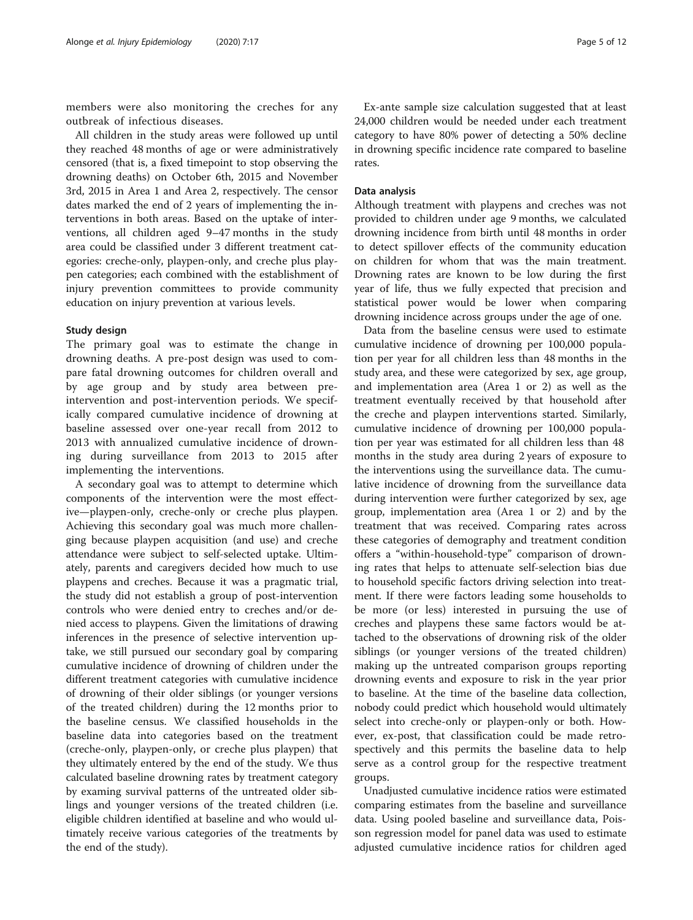members were also monitoring the creches for any outbreak of infectious diseases.

All children in the study areas were followed up until they reached 48 months of age or were administratively censored (that is, a fixed timepoint to stop observing the drowning deaths) on October 6th, 2015 and November 3rd, 2015 in Area 1 and Area 2, respectively. The censor dates marked the end of 2 years of implementing the interventions in both areas. Based on the uptake of interventions, all children aged 9–47 months in the study area could be classified under 3 different treatment categories: creche-only, playpen-only, and creche plus playpen categories; each combined with the establishment of injury prevention committees to provide community education on injury prevention at various levels.

### Study design

The primary goal was to estimate the change in drowning deaths. A pre-post design was used to compare fatal drowning outcomes for children overall and by age group and by study area between preintervention and post-intervention periods. We specifically compared cumulative incidence of drowning at baseline assessed over one-year recall from 2012 to 2013 with annualized cumulative incidence of drowning during surveillance from 2013 to 2015 after implementing the interventions.

A secondary goal was to attempt to determine which components of the intervention were the most effective—playpen-only, creche-only or creche plus playpen. Achieving this secondary goal was much more challenging because playpen acquisition (and use) and creche attendance were subject to self-selected uptake. Ultimately, parents and caregivers decided how much to use playpens and creches. Because it was a pragmatic trial, the study did not establish a group of post-intervention controls who were denied entry to creches and/or denied access to playpens. Given the limitations of drawing inferences in the presence of selective intervention uptake, we still pursued our secondary goal by comparing cumulative incidence of drowning of children under the different treatment categories with cumulative incidence of drowning of their older siblings (or younger versions of the treated children) during the 12 months prior to the baseline census. We classified households in the baseline data into categories based on the treatment (creche-only, playpen-only, or creche plus playpen) that they ultimately entered by the end of the study. We thus calculated baseline drowning rates by treatment category by examing survival patterns of the untreated older siblings and younger versions of the treated children (i.e. eligible children identified at baseline and who would ultimately receive various categories of the treatments by the end of the study).

Ex-ante sample size calculation suggested that at least 24,000 children would be needed under each treatment category to have 80% power of detecting a 50% decline in drowning specific incidence rate compared to baseline rates.

## Data analysis

Although treatment with playpens and creches was not provided to children under age 9 months, we calculated drowning incidence from birth until 48 months in order to detect spillover effects of the community education on children for whom that was the main treatment. Drowning rates are known to be low during the first year of life, thus we fully expected that precision and statistical power would be lower when comparing drowning incidence across groups under the age of one.

Data from the baseline census were used to estimate cumulative incidence of drowning per 100,000 population per year for all children less than 48 months in the study area, and these were categorized by sex, age group, and implementation area (Area 1 or 2) as well as the treatment eventually received by that household after the creche and playpen interventions started. Similarly, cumulative incidence of drowning per 100,000 population per year was estimated for all children less than 48 months in the study area during 2 years of exposure to the interventions using the surveillance data. The cumulative incidence of drowning from the surveillance data during intervention were further categorized by sex, age group, implementation area (Area 1 or 2) and by the treatment that was received. Comparing rates across these categories of demography and treatment condition offers a "within-household-type" comparison of drowning rates that helps to attenuate self-selection bias due to household specific factors driving selection into treatment. If there were factors leading some households to be more (or less) interested in pursuing the use of creches and playpens these same factors would be attached to the observations of drowning risk of the older siblings (or younger versions of the treated children) making up the untreated comparison groups reporting drowning events and exposure to risk in the year prior to baseline. At the time of the baseline data collection, nobody could predict which household would ultimately select into creche-only or playpen-only or both. However, ex-post, that classification could be made retrospectively and this permits the baseline data to help serve as a control group for the respective treatment groups.

Unadjusted cumulative incidence ratios were estimated comparing estimates from the baseline and surveillance data. Using pooled baseline and surveillance data, Poisson regression model for panel data was used to estimate adjusted cumulative incidence ratios for children aged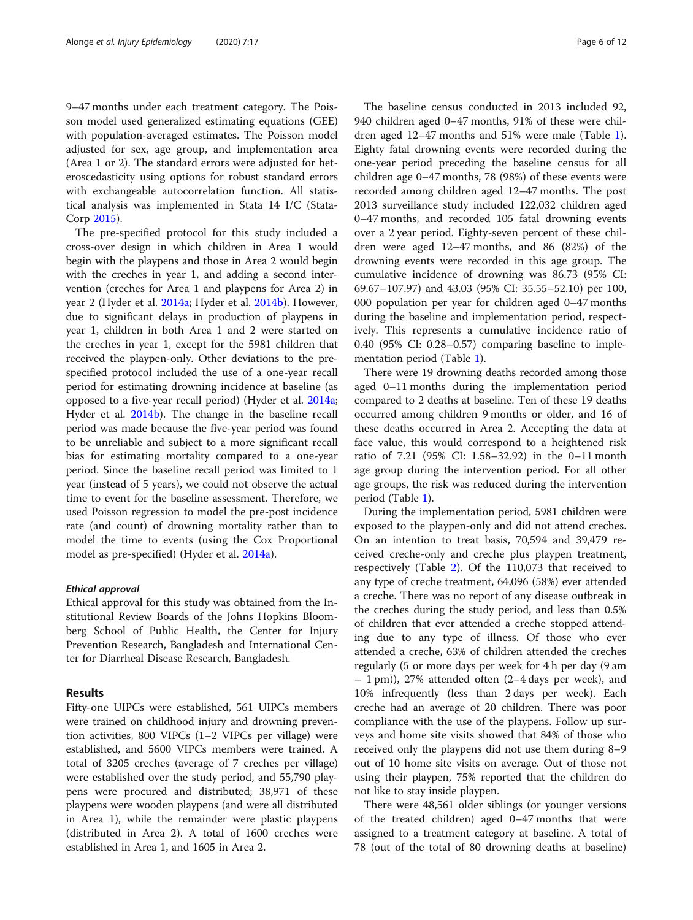9–47 months under each treatment category. The Poisson model used generalized estimating equations (GEE) with population-averaged estimates. The Poisson model adjusted for sex, age group, and implementation area (Area 1 or 2). The standard errors were adjusted for heteroscedasticity using options for robust standard errors with exchangeable autocorrelation function. All statistical analysis was implemented in Stata 14 I/C (Stata-Corp [2015\)](#page-11-0).

The pre-specified protocol for this study included a cross-over design in which children in Area 1 would begin with the playpens and those in Area 2 would begin with the creches in year 1, and adding a second intervention (creches for Area 1 and playpens for Area 2) in year 2 (Hyder et al. [2014a;](#page-10-0) Hyder et al. [2014b\)](#page-10-0). However, due to significant delays in production of playpens in year 1, children in both Area 1 and 2 were started on the creches in year 1, except for the 5981 children that received the playpen-only. Other deviations to the prespecified protocol included the use of a one-year recall period for estimating drowning incidence at baseline (as opposed to a five-year recall period) (Hyder et al. [2014a](#page-10-0); Hyder et al. [2014b](#page-10-0)). The change in the baseline recall period was made because the five-year period was found to be unreliable and subject to a more significant recall bias for estimating mortality compared to a one-year period. Since the baseline recall period was limited to 1 year (instead of 5 years), we could not observe the actual time to event for the baseline assessment. Therefore, we used Poisson regression to model the pre-post incidence rate (and count) of drowning mortality rather than to model the time to events (using the Cox Proportional model as pre-specified) (Hyder et al. [2014a\)](#page-10-0).

#### Ethical approval

Ethical approval for this study was obtained from the Institutional Review Boards of the Johns Hopkins Bloomberg School of Public Health, the Center for Injury Prevention Research, Bangladesh and International Center for Diarrheal Disease Research, Bangladesh.

## Results

Fifty-one UIPCs were established, 561 UIPCs members were trained on childhood injury and drowning prevention activities, 800 VIPCs (1–2 VIPCs per village) were established, and 5600 VIPCs members were trained. A total of 3205 creches (average of 7 creches per village) were established over the study period, and 55,790 playpens were procured and distributed; 38,971 of these playpens were wooden playpens (and were all distributed in Area 1), while the remainder were plastic playpens (distributed in Area 2). A total of 1600 creches were established in Area 1, and 1605 in Area 2.

The baseline census conducted in 2013 included 92, 940 children aged 0–47 months, 91% of these were children aged 12–47 months and 51% were male (Table [1](#page-6-0)). Eighty fatal drowning events were recorded during the one-year period preceding the baseline census for all children age 0–47 months, 78 (98%) of these events were recorded among children aged 12–47 months. The post 2013 surveillance study included 122,032 children aged 0–47 months, and recorded 105 fatal drowning events over a 2 year period. Eighty-seven percent of these children were aged 12–47 months, and 86 (82%) of the drowning events were recorded in this age group. The cumulative incidence of drowning was 86.73 (95% CI: 69.67–107.97) and 43.03 (95% CI: 35.55–52.10) per 100, 000 population per year for children aged 0–47 months during the baseline and implementation period, respectively. This represents a cumulative incidence ratio of 0.40 (95% CI: 0.28–0.57) comparing baseline to implementation period (Table [1\)](#page-6-0).

There were 19 drowning deaths recorded among those aged 0–11 months during the implementation period compared to 2 deaths at baseline. Ten of these 19 deaths occurred among children 9 months or older, and 16 of these deaths occurred in Area 2. Accepting the data at face value, this would correspond to a heightened risk ratio of 7.21 (95% CI: 1.58–32.92) in the 0–11 month age group during the intervention period. For all other age groups, the risk was reduced during the intervention period (Table [1\)](#page-6-0).

During the implementation period, 5981 children were exposed to the playpen-only and did not attend creches. On an intention to treat basis, 70,594 and 39,479 received creche-only and creche plus playpen treatment, respectively (Table [2\)](#page-6-0). Of the 110,073 that received to any type of creche treatment, 64,096 (58%) ever attended a creche. There was no report of any disease outbreak in the creches during the study period, and less than 0.5% of children that ever attended a creche stopped attending due to any type of illness. Of those who ever attended a creche, 63% of children attended the creches regularly (5 or more days per week for 4 h per day (9 am – 1 pm)), 27% attended often (2–4 days per week), and 10% infrequently (less than 2 days per week). Each creche had an average of 20 children. There was poor compliance with the use of the playpens. Follow up surveys and home site visits showed that 84% of those who received only the playpens did not use them during 8–9 out of 10 home site visits on average. Out of those not using their playpen, 75% reported that the children do not like to stay inside playpen.

There were 48,561 older siblings (or younger versions of the treated children) aged 0–47 months that were assigned to a treatment category at baseline. A total of 78 (out of the total of 80 drowning deaths at baseline)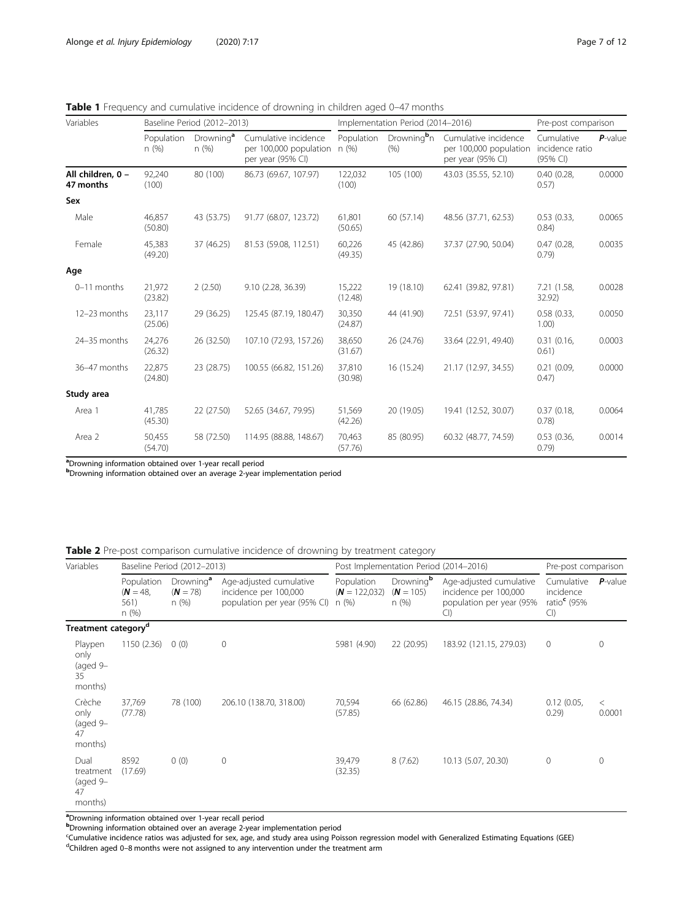| Variables                      | Baseline Period (2012-2013) |                               |                                                                     | Implementation Period (2014-2016) |                                 |                                                                     | Pre-post comparison                       |            |
|--------------------------------|-----------------------------|-------------------------------|---------------------------------------------------------------------|-----------------------------------|---------------------------------|---------------------------------------------------------------------|-------------------------------------------|------------|
|                                | Population<br>n(%)          | Drowning <sup>a</sup><br>n(%) | Cumulative incidence<br>per 100,000 population<br>per year (95% CI) | Population<br>n (%)               | Drowning <sup>b</sup> n<br>(% ) | Cumulative incidence<br>per 100,000 population<br>per year (95% CI) | Cumulative<br>incidence ratio<br>(95% CI) | $P$ -value |
| All children, 0 -<br>47 months | 92,240<br>(100)             | 80 (100)                      | 86.73 (69.67, 107.97)                                               | 122,032<br>(100)                  | 105 (100)                       | 43.03 (35.55, 52.10)                                                | 0.40(0.28,<br>0.57)                       | 0.0000     |
| Sex                            |                             |                               |                                                                     |                                   |                                 |                                                                     |                                           |            |
| Male                           | 46,857<br>(50.80)           | 43 (53.75)                    | 91.77 (68.07, 123.72)                                               | 61,801<br>(50.65)                 | 60(57.14)                       | 48.56 (37.71, 62.53)                                                | 0.53(0.33,<br>0.84)                       | 0.0065     |
| Female                         | 45,383<br>(49.20)           | 37 (46.25)                    | 81.53 (59.08, 112.51)                                               | 60,226<br>(49.35)                 | 45 (42.86)                      | 37.37 (27.90, 50.04)                                                | 0.47(0.28,<br>0.79)                       | 0.0035     |
| Age                            |                             |                               |                                                                     |                                   |                                 |                                                                     |                                           |            |
| 0-11 months                    | 21,972<br>(23.82)           | 2(2.50)                       | 9.10 (2.28, 36.39)                                                  | 15,222<br>(12.48)                 | 19 (18.10)                      | 62.41 (39.82, 97.81)                                                | 7.21 (1.58,<br>32.92)                     | 0.0028     |
| 12-23 months                   | 23,117<br>(25.06)           | 29 (36.25)                    | 125.45 (87.19, 180.47)                                              | 30,350<br>(24.87)                 | 44 (41.90)                      | 72.51 (53.97, 97.41)                                                | 0.58(0.33,<br>1.00)                       | 0.0050     |
| 24-35 months                   | 24.276<br>(26.32)           | 26 (32.50)                    | 107.10 (72.93, 157.26)                                              | 38.650<br>(31.67)                 | 26 (24.76)                      | 33.64 (22.91, 49.40)                                                | 0.31(0.16,<br>0.61)                       | 0.0003     |
| 36-47 months                   | 22,875<br>(24.80)           | 23 (28.75)                    | 100.55 (66.82, 151.26)                                              | 37,810<br>(30.98)                 | 16(15.24)                       | 21.17 (12.97, 34.55)                                                | 0.21(0.09,<br>0.47)                       | 0.0000     |
| Study area                     |                             |                               |                                                                     |                                   |                                 |                                                                     |                                           |            |
| Area 1                         | 41,785<br>(45.30)           | 22 (27.50)                    | 52.65 (34.67, 79.95)                                                | 51,569<br>(42.26)                 | 20 (19.05)                      | 19.41 (12.52, 30.07)                                                | 0.37(0.18,<br>0.78)                       | 0.0064     |
| Area 2                         | 50,455<br>(54.70)           | 58 (72.50)                    | 114.95 (88.88, 148.67)                                              | 70.463<br>(57.76)                 | 85 (80.95)                      | 60.32 (48.77, 74.59)                                                | 0.53(0.36,<br>0.79                        | 0.0014     |

<span id="page-6-0"></span>Table 1 Frequency and cumulative incidence of drowning in children aged 0-47 months

a<br> **Drowning information obtained over 1-year recall period** 

b<br> **b** Drowning information obtained over an average 2-year implementation period

Table 2 Pre-post comparison cumulative incidence of drowning by treatment category

| Variables                                      |                                          | Baseline Period (2012-2013)                 |                                                                                  | Post Implementation Period (2014-2016) |                                              |                                                                                     | Pre-post comparison                                    |                   |
|------------------------------------------------|------------------------------------------|---------------------------------------------|----------------------------------------------------------------------------------|----------------------------------------|----------------------------------------------|-------------------------------------------------------------------------------------|--------------------------------------------------------|-------------------|
|                                                | Population<br>$(N = 48,$<br>561)<br>n(%) | Drowning <sup>a</sup><br>$(N = 78)$<br>n(%) | Age-adjusted cumulative<br>incidence per 100,000<br>population per year (95% CI) | Population<br>$(N = 122,032)$<br>n(%)  | Drowning <sup>b</sup><br>$(N = 105)$<br>n(%) | Age-adjusted cumulative<br>incidence per 100,000<br>population per year (95%<br>CI) | Cumulative<br>incidence<br>ratio $\epsilon$ (95%<br>Cl | $P$ -value        |
| Treatment category <sup>d</sup>                |                                          |                                             |                                                                                  |                                        |                                              |                                                                                     |                                                        |                   |
| Playpen<br>only<br>(aged 9-<br>35<br>months)   | 1150 (2.36)                              | 0(0)                                        | 0                                                                                | 5981 (4.90)                            | 22 (20.95)                                   | 183.92 (121.15, 279.03)                                                             | $\overline{0}$                                         | 0                 |
| Crèche<br>only<br>(aged 9-<br>47<br>months)    | 37,769<br>(77.78)                        | 78 (100)                                    | 206.10 (138.70, 318.00)                                                          | 70,594<br>(57.85)                      | 66 (62.86)                                   | 46.15 (28.86, 74.34)                                                                | 0.12(0.05,<br>0.29)                                    | $\,<\,$<br>0.0001 |
| Dual<br>treatment<br>(aged 9-<br>47<br>months) | 8592<br>(17.69)                          | 0(0)                                        | 0                                                                                | 39,479<br>(32.35)                      | 8(7.62)                                      | 10.13 (5.07, 20.30)                                                                 | $\mathbf{0}$                                           | $\Omega$          |

aDrowning information obtained over 1-year recall period

b<br> **b** Drowning information obtained over an average 2-year implementation period

<sup>c</sup>Cumulative incidence ratios was adjusted for sex, age, and study area using Poisson regression model with Generalized Estimating Equations (GEE) <sup>d</sup>Children aged 0-8 months were not assigned to any intervention under the treatment arm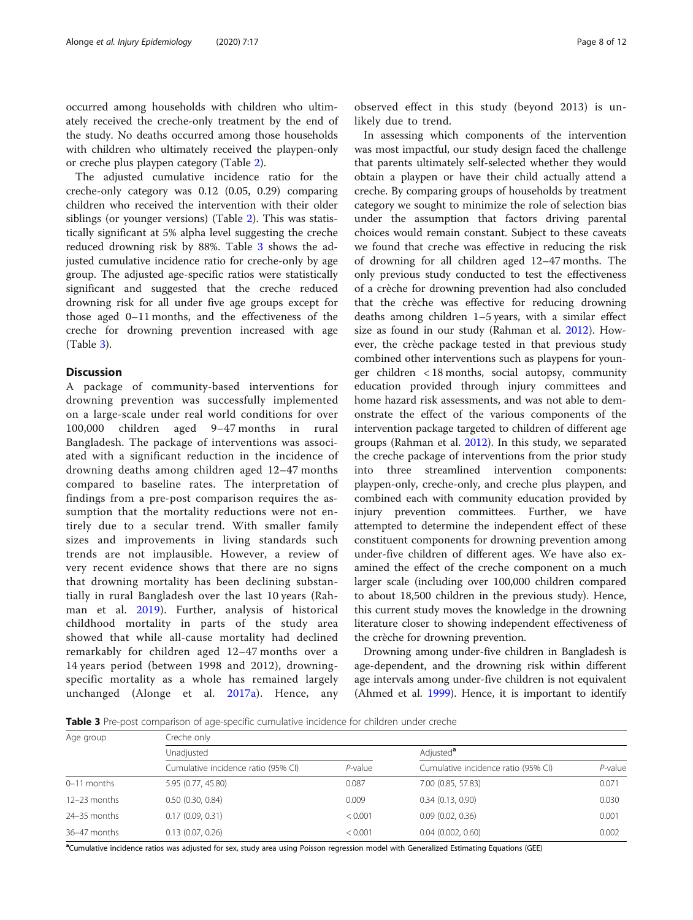<span id="page-7-0"></span>occurred among households with children who ultimately received the creche-only treatment by the end of the study. No deaths occurred among those households with children who ultimately received the playpen-only or creche plus playpen category (Table [2\)](#page-6-0).

The adjusted cumulative incidence ratio for the creche-only category was 0.12 (0.05, 0.29) comparing children who received the intervention with their older siblings (or younger versions) (Table [2](#page-6-0)). This was statistically significant at 5% alpha level suggesting the creche reduced drowning risk by 88%. Table 3 shows the adjusted cumulative incidence ratio for creche-only by age group. The adjusted age-specific ratios were statistically significant and suggested that the creche reduced drowning risk for all under five age groups except for those aged 0–11 months, and the effectiveness of the creche for drowning prevention increased with age (Table 3).

## **Discussion**

A package of community-based interventions for drowning prevention was successfully implemented on a large-scale under real world conditions for over 100,000 children aged 9–47 months in rural Bangladesh. The package of interventions was associated with a significant reduction in the incidence of drowning deaths among children aged 12–47 months compared to baseline rates. The interpretation of findings from a pre-post comparison requires the assumption that the mortality reductions were not entirely due to a secular trend. With smaller family sizes and improvements in living standards such trends are not implausible. However, a review of very recent evidence shows that there are no signs that drowning mortality has been declining substantially in rural Bangladesh over the last 10 years (Rahman et al. [2019\)](#page-11-0). Further, analysis of historical childhood mortality in parts of the study area showed that while all-cause mortality had declined remarkably for children aged 12–47 months over a 14 years period (between 1998 and 2012), drowningspecific mortality as a whole has remained largely unchanged (Alonge et al. [2017a](#page-10-0)). Hence, any

observed effect in this study (beyond 2013) is unlikely due to trend.

In assessing which components of the intervention was most impactful, our study design faced the challenge that parents ultimately self-selected whether they would obtain a playpen or have their child actually attend a creche. By comparing groups of households by treatment category we sought to minimize the role of selection bias under the assumption that factors driving parental choices would remain constant. Subject to these caveats we found that creche was effective in reducing the risk of drowning for all children aged 12–47 months. The only previous study conducted to test the effectiveness of a crèche for drowning prevention had also concluded that the crèche was effective for reducing drowning deaths among children 1–5 years, with a similar effect size as found in our study (Rahman et al. [2012](#page-11-0)). However, the crèche package tested in that previous study combined other interventions such as playpens for younger children < 18 months, social autopsy, community education provided through injury committees and home hazard risk assessments, and was not able to demonstrate the effect of the various components of the intervention package targeted to children of different age groups (Rahman et al. [2012](#page-11-0)). In this study, we separated the creche package of interventions from the prior study into three streamlined intervention components: playpen-only, creche-only, and creche plus playpen, and combined each with community education provided by injury prevention committees. Further, we have attempted to determine the independent effect of these constituent components for drowning prevention among under-five children of different ages. We have also examined the effect of the creche component on a much larger scale (including over 100,000 children compared to about 18,500 children in the previous study). Hence, this current study moves the knowledge in the drowning literature closer to showing independent effectiveness of the crèche for drowning prevention.

Drowning among under-five children in Bangladesh is age-dependent, and the drowning risk within different age intervals among under-five children is not equivalent (Ahmed et al. [1999](#page-10-0)). Hence, it is important to identify

Table 3 Pre-post comparison of age-specific cumulative incidence for children under creche

| Age group      | Creche only                         |            |                                     |            |  |  |  |  |
|----------------|-------------------------------------|------------|-------------------------------------|------------|--|--|--|--|
|                | Unadjusted                          |            | Adjusted <sup>a</sup>               |            |  |  |  |  |
|                | Cumulative incidence ratio (95% CI) | $P$ -value | Cumulative incidence ratio (95% CI) | $P$ -value |  |  |  |  |
| $0-11$ months  | 5.95 (0.77, 45.80)                  | 0.087      | 7.00 (0.85, 57.83)                  | 0.071      |  |  |  |  |
| 12-23 months   | $0.50$ $(0.30, 0.84)$               | 0.009      | 0.34(0.13, 0.90)                    | 0.030      |  |  |  |  |
| $24-35$ months | 0.17(0.09, 0.31)                    | < 0.001    | 0.09(0.02, 0.36)                    | 0.001      |  |  |  |  |
| 36-47 months   | 0.13(0.07, 0.26)                    | < 0.001    | 0.04(0.002, 0.60)                   | 0.002      |  |  |  |  |

a Cumulative incidence ratios was adjusted for sex, study area using Poisson regression model with Generalized Estimating Equations (GEE)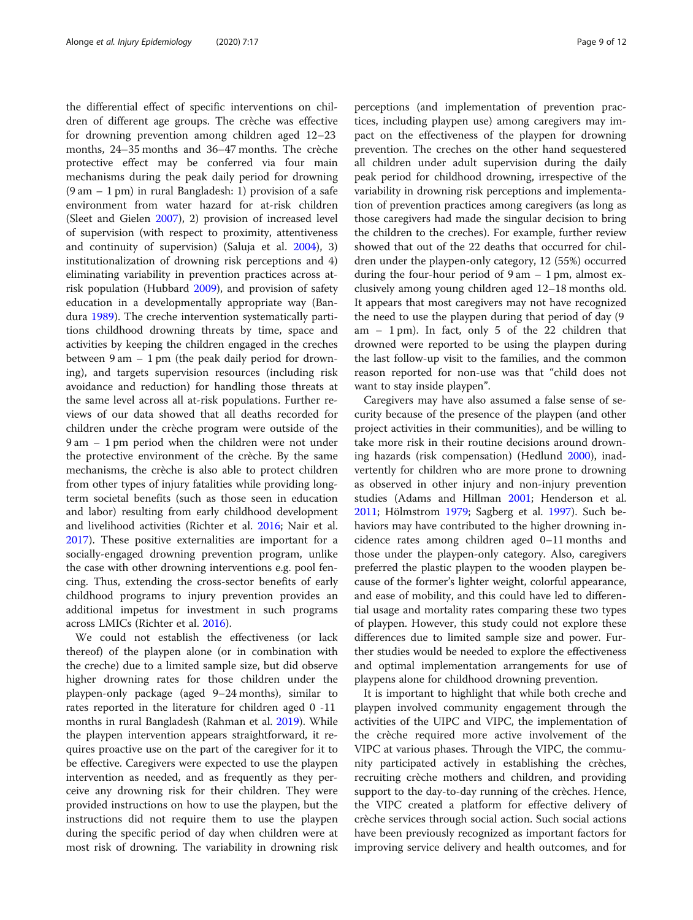the differential effect of specific interventions on children of different age groups. The crèche was effective for drowning prevention among children aged 12–23 months, 24–35 months and 36–47 months. The crèche protective effect may be conferred via four main mechanisms during the peak daily period for drowning (9 am – 1 pm) in rural Bangladesh: 1) provision of a safe environment from water hazard for at-risk children (Sleet and Gielen [2007](#page-11-0)), 2) provision of increased level of supervision (with respect to proximity, attentiveness and continuity of supervision) (Saluja et al. [2004\)](#page-11-0), 3) institutionalization of drowning risk perceptions and 4) eliminating variability in prevention practices across atrisk population (Hubbard [2009](#page-10-0)), and provision of safety education in a developmentally appropriate way (Bandura [1989](#page-10-0)). The creche intervention systematically partitions childhood drowning threats by time, space and activities by keeping the children engaged in the creches between 9 am – 1 pm (the peak daily period for drowning), and targets supervision resources (including risk avoidance and reduction) for handling those threats at the same level across all at-risk populations. Further reviews of our data showed that all deaths recorded for children under the crèche program were outside of the 9 am – 1 pm period when the children were not under the protective environment of the crèche. By the same mechanisms, the crèche is also able to protect children from other types of injury fatalities while providing longterm societal benefits (such as those seen in education and labor) resulting from early childhood development and livelihood activities (Richter et al. [2016](#page-11-0); Nair et al. [2017](#page-10-0)). These positive externalities are important for a socially-engaged drowning prevention program, unlike the case with other drowning interventions e.g. pool fencing. Thus, extending the cross-sector benefits of early childhood programs to injury prevention provides an additional impetus for investment in such programs across LMICs (Richter et al. [2016\)](#page-11-0).

We could not establish the effectiveness (or lack thereof) of the playpen alone (or in combination with the creche) due to a limited sample size, but did observe higher drowning rates for those children under the playpen-only package (aged 9–24 months), similar to rates reported in the literature for children aged 0 -11 months in rural Bangladesh (Rahman et al. [2019](#page-11-0)). While the playpen intervention appears straightforward, it requires proactive use on the part of the caregiver for it to be effective. Caregivers were expected to use the playpen intervention as needed, and as frequently as they perceive any drowning risk for their children. They were provided instructions on how to use the playpen, but the instructions did not require them to use the playpen during the specific period of day when children were at most risk of drowning. The variability in drowning risk

perceptions (and implementation of prevention practices, including playpen use) among caregivers may impact on the effectiveness of the playpen for drowning prevention. The creches on the other hand sequestered all children under adult supervision during the daily peak period for childhood drowning, irrespective of the variability in drowning risk perceptions and implementation of prevention practices among caregivers (as long as those caregivers had made the singular decision to bring the children to the creches). For example, further review showed that out of the 22 deaths that occurred for children under the playpen-only category, 12 (55%) occurred during the four-hour period of  $9 \text{ am } -1 \text{ pm}$ , almost exclusively among young children aged 12–18 months old. It appears that most caregivers may not have recognized the need to use the playpen during that period of day (9 am – 1 pm). In fact, only 5 of the 22 children that drowned were reported to be using the playpen during the last follow-up visit to the families, and the common reason reported for non-use was that "child does not want to stay inside playpen".

Caregivers may have also assumed a false sense of security because of the presence of the playpen (and other project activities in their communities), and be willing to take more risk in their routine decisions around drowning hazards (risk compensation) (Hedlund [2000\)](#page-10-0), inadvertently for children who are more prone to drowning as observed in other injury and non-injury prevention studies (Adams and Hillman [2001;](#page-10-0) Henderson et al. [2011](#page-10-0); Hölmstrom [1979;](#page-10-0) Sagberg et al. [1997](#page-11-0)). Such behaviors may have contributed to the higher drowning incidence rates among children aged 0–11 months and those under the playpen-only category. Also, caregivers preferred the plastic playpen to the wooden playpen because of the former's lighter weight, colorful appearance, and ease of mobility, and this could have led to differential usage and mortality rates comparing these two types of playpen. However, this study could not explore these differences due to limited sample size and power. Further studies would be needed to explore the effectiveness and optimal implementation arrangements for use of playpens alone for childhood drowning prevention.

It is important to highlight that while both creche and playpen involved community engagement through the activities of the UIPC and VIPC, the implementation of the crèche required more active involvement of the VIPC at various phases. Through the VIPC, the community participated actively in establishing the crèches, recruiting crèche mothers and children, and providing support to the day-to-day running of the crèches. Hence, the VIPC created a platform for effective delivery of crèche services through social action. Such social actions have been previously recognized as important factors for improving service delivery and health outcomes, and for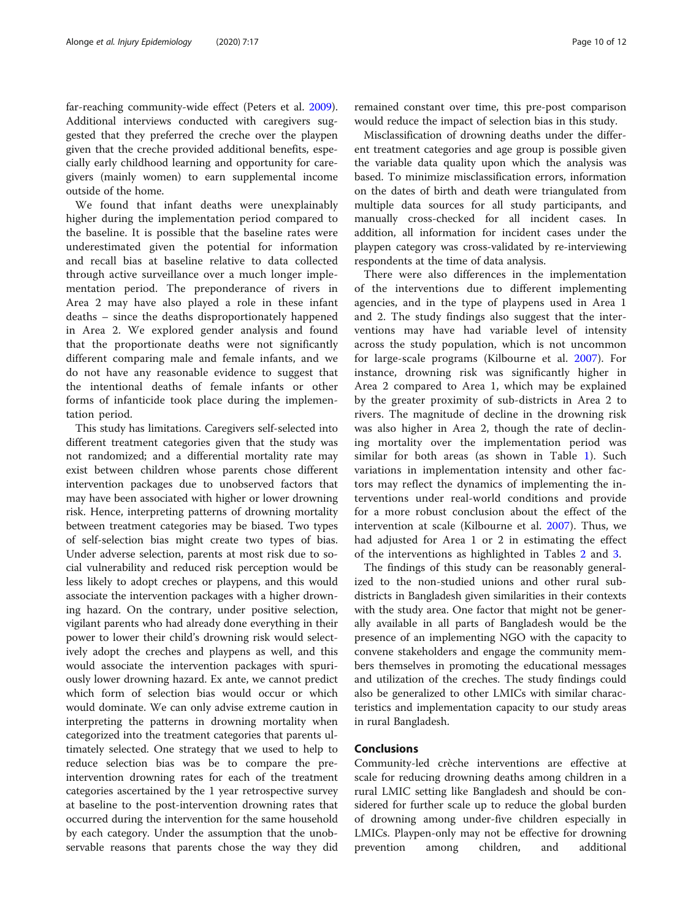far-reaching community-wide effect (Peters et al. [2009](#page-11-0)). Additional interviews conducted with caregivers suggested that they preferred the creche over the playpen given that the creche provided additional benefits, especially early childhood learning and opportunity for caregivers (mainly women) to earn supplemental income outside of the home.

We found that infant deaths were unexplainably higher during the implementation period compared to the baseline. It is possible that the baseline rates were underestimated given the potential for information and recall bias at baseline relative to data collected through active surveillance over a much longer implementation period. The preponderance of rivers in Area 2 may have also played a role in these infant deaths – since the deaths disproportionately happened in Area 2. We explored gender analysis and found that the proportionate deaths were not significantly different comparing male and female infants, and we do not have any reasonable evidence to suggest that the intentional deaths of female infants or other forms of infanticide took place during the implementation period.

This study has limitations. Caregivers self-selected into different treatment categories given that the study was not randomized; and a differential mortality rate may exist between children whose parents chose different intervention packages due to unobserved factors that may have been associated with higher or lower drowning risk. Hence, interpreting patterns of drowning mortality between treatment categories may be biased. Two types of self-selection bias might create two types of bias. Under adverse selection, parents at most risk due to social vulnerability and reduced risk perception would be less likely to adopt creches or playpens, and this would associate the intervention packages with a higher drowning hazard. On the contrary, under positive selection, vigilant parents who had already done everything in their power to lower their child's drowning risk would selectively adopt the creches and playpens as well, and this would associate the intervention packages with spuriously lower drowning hazard. Ex ante, we cannot predict which form of selection bias would occur or which would dominate. We can only advise extreme caution in interpreting the patterns in drowning mortality when categorized into the treatment categories that parents ultimately selected. One strategy that we used to help to reduce selection bias was be to compare the preintervention drowning rates for each of the treatment categories ascertained by the 1 year retrospective survey at baseline to the post-intervention drowning rates that occurred during the intervention for the same household by each category. Under the assumption that the unobservable reasons that parents chose the way they did

remained constant over time, this pre-post comparison would reduce the impact of selection bias in this study.

Misclassification of drowning deaths under the different treatment categories and age group is possible given the variable data quality upon which the analysis was based. To minimize misclassification errors, information on the dates of birth and death were triangulated from multiple data sources for all study participants, and manually cross-checked for all incident cases. In addition, all information for incident cases under the playpen category was cross-validated by re-interviewing respondents at the time of data analysis.

There were also differences in the implementation of the interventions due to different implementing agencies, and in the type of playpens used in Area 1 and 2. The study findings also suggest that the interventions may have had variable level of intensity across the study population, which is not uncommon for large-scale programs (Kilbourne et al. [2007\)](#page-10-0). For instance, drowning risk was significantly higher in Area 2 compared to Area 1, which may be explained by the greater proximity of sub-districts in Area 2 to rivers. The magnitude of decline in the drowning risk was also higher in Area 2, though the rate of declining mortality over the implementation period was similar for both areas (as shown in Table [1\)](#page-6-0). Such variations in implementation intensity and other factors may reflect the dynamics of implementing the interventions under real-world conditions and provide for a more robust conclusion about the effect of the intervention at scale (Kilbourne et al. [2007\)](#page-10-0). Thus, we had adjusted for Area 1 or 2 in estimating the effect of the interventions as highlighted in Tables [2](#page-6-0) and [3](#page-7-0).

The findings of this study can be reasonably generalized to the non-studied unions and other rural subdistricts in Bangladesh given similarities in their contexts with the study area. One factor that might not be generally available in all parts of Bangladesh would be the presence of an implementing NGO with the capacity to convene stakeholders and engage the community members themselves in promoting the educational messages and utilization of the creches. The study findings could also be generalized to other LMICs with similar characteristics and implementation capacity to our study areas in rural Bangladesh.

## Conclusions

Community-led crèche interventions are effective at scale for reducing drowning deaths among children in a rural LMIC setting like Bangladesh and should be considered for further scale up to reduce the global burden of drowning among under-five children especially in LMICs. Playpen-only may not be effective for drowning prevention among children, and additional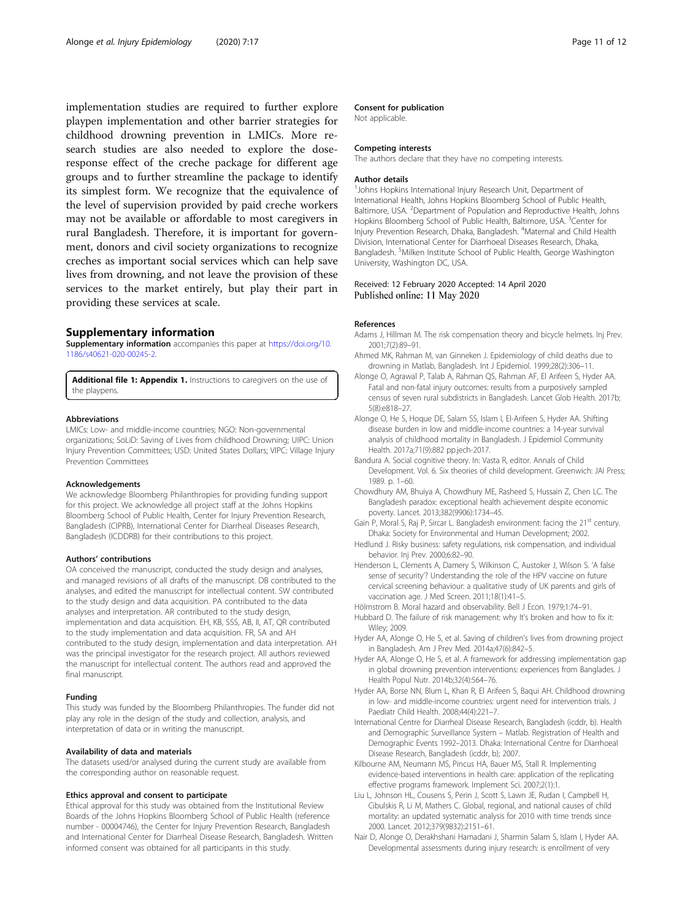<span id="page-10-0"></span>implementation studies are required to further explore playpen implementation and other barrier strategies for childhood drowning prevention in LMICs. More research studies are also needed to explore the doseresponse effect of the creche package for different age groups and to further streamline the package to identify its simplest form. We recognize that the equivalence of the level of supervision provided by paid creche workers may not be available or affordable to most caregivers in rural Bangladesh. Therefore, it is important for government, donors and civil society organizations to recognize creches as important social services which can help save lives from drowning, and not leave the provision of these services to the market entirely, but play their part in providing these services at scale.

#### Supplementary information

Supplementary information accompanies this paper at [https://doi.org/10.](https://doi.org/10.1186/s40621-020-00245-2) [1186/s40621-020-00245-2](https://doi.org/10.1186/s40621-020-00245-2).

Additional file 1: Appendix 1. Instructions to caregivers on the use of the playpens.

#### Abbreviations

LMICs: Low- and middle-income countries; NGO: Non-governmental organizations; SoLiD: Saving of Lives from childhood Drowning; UIPC: Union Injury Prevention Committees; USD: United States Dollars; VIPC: Village Injury Prevention Committees

#### Acknowledgements

We acknowledge Bloomberg Philanthropies for providing funding support for this project. We acknowledge all project staff at the Johns Hopkins Bloomberg School of Public Health, Center for Injury Prevention Research, Bangladesh (CIPRB), International Center for Diarrheal Diseases Research, Bangladesh (ICDDRB) for their contributions to this project.

#### Authors' contributions

OA conceived the manuscript, conducted the study design and analyses, and managed revisions of all drafts of the manuscript. DB contributed to the analyses, and edited the manuscript for intellectual content. SW contributed to the study design and data acquisition. PA contributed to the data analyses and interpretation. AR contributed to the study design, implementation and data acquisition. EH, KB, SSS, AB, II, AT, QR contributed to the study implementation and data acquisition. FR, SA and AH contributed to the study design, implementation and data interpretation. AH was the principal investigator for the research project. All authors reviewed the manuscript for intellectual content. The authors read and approved the final manuscript.

#### Funding

This study was funded by the Bloomberg Philanthropies. The funder did not play any role in the design of the study and collection, analysis, and interpretation of data or in writing the manuscript.

#### Availability of data and materials

The datasets used/or analysed during the current study are available from the corresponding author on reasonable request.

#### Ethics approval and consent to participate

Ethical approval for this study was obtained from the Institutional Review Boards of the Johns Hopkins Bloomberg School of Public Health (reference number - 00004746), the Center for Injury Prevention Research, Bangladesh and International Center for Diarrheal Disease Research, Bangladesh. Written informed consent was obtained for all participants in this study.

#### Consent for publication

Not applicable.

#### Competing interests

The authors declare that they have no competing interests.

#### Author details

<sup>1</sup>Johns Hopkins International Injury Research Unit, Department of International Health, Johns Hopkins Bloomberg School of Public Health, Baltimore, USA. <sup>2</sup>Department of Population and Reproductive Health, Johns Hopkins Bloomberg School of Public Health, Baltimore, USA. <sup>3</sup>Center for Injury Prevention Research, Dhaka, Bangladesh. <sup>4</sup> Maternal and Child Health Division, International Center for Diarrhoeal Diseases Research, Dhaka, Bangladesh. <sup>5</sup>Milken Institute School of Public Health, George Washington University, Washington DC, USA.

#### Received: 12 February 2020 Accepted: 14 April 2020 Published online: 11 May 2020

#### References

- Adams J, Hillman M. The risk compensation theory and bicycle helmets. Inj Prev. 2001;7(2):89–91.
- Ahmed MK, Rahman M, van Ginneken J. Epidemiology of child deaths due to drowning in Matlab, Bangladesh. Int J Epidemiol. 1999;28(2):306–11.
- Alonge O, Agrawal P, Talab A, Rahman QS, Rahman AF, El Arifeen S, Hyder AA. Fatal and non-fatal injury outcomes: results from a purposively sampled census of seven rural subdistricts in Bangladesh. Lancet Glob Health. 2017b; 5(8):e818–27.
- Alonge O, He S, Hoque DE, Salam SS, Islam I, El-Arifeen S, Hyder AA. Shifting disease burden in low and middle-income countries: a 14-year survival analysis of childhood mortality in Bangladesh. J Epidemiol Community Health. 2017a;71(9):882 pp.jech-2017.
- Bandura A. Social cognitive theory. In: Vasta R, editor. Annals of Child Development. Vol. 6. Six theories of child development. Greenwich: JAI Press; 1989. p. 1–60.
- Chowdhury AM, Bhuiya A, Chowdhury ME, Rasheed S, Hussain Z, Chen LC. The Bangladesh paradox: exceptional health achievement despite economic poverty. Lancet. 2013;382(9906):1734–45.
- Gain P, Moral S, Raj P, Sircar L. Bangladesh environment: facing the 21<sup>st</sup> century. Dhaka: Society for Environmental and Human Development; 2002.
- Hedlund J. Risky business: safety regulations, risk compensation, and individual behavior. Inj Prev. 2000;6:82–90.
- Henderson L, Clements A, Damery S, Wilkinson C, Austoker J, Wilson S. 'A false sense of security'? Understanding the role of the HPV vaccine on future cervical screening behaviour: a qualitative study of UK parents and girls of vaccination age. J Med Screen. 2011;18(1):41–5.
- Hölmstrom B. Moral hazard and observability. Bell J Econ. 1979;1:74–91.
- Hubbard D. The failure of risk management: why It's broken and how to fix it: Wiley; 2009.
- Hyder AA, Alonge O, He S, et al. Saving of children's lives from drowning project in Bangladesh. Am J Prev Med. 2014a;47(6):842–5.
- Hyder AA, Alonge O, He S, et al. A framework for addressing implementation gap in global drowning prevention interventions: experiences from Banglades. J Health Popul Nutr. 2014b;32(4):564–76.
- Hyder AA, Borse NN, Blum L, Khan R, El Arifeen S, Baqui AH. Childhood drowning in low- and middle-income countries: urgent need for intervention trials. J Paediatr Child Health. 2008;44(4):221–7.
- International Centre for Diarrheal Disease Research, Bangladesh (icddr, b). Health and Demographic Surveillance System – Matlab. Registration of Health and Demographic Events 1992–2013. Dhaka: International Centre for Diarrhoeal Disease Research, Bangladesh (icddr, b); 2007.
- Kilbourne AM, Neumann MS, Pincus HA, Bauer MS, Stall R. Implementing evidence-based interventions in health care: application of the replicating effective programs framework. Implement Sci. 2007;2(1):1.
- Liu L, Johnson HL, Cousens S, Perin J, Scott S, Lawn JE, Rudan I, Campbell H, Cibulskis R, Li M, Mathers C. Global, regional, and national causes of child mortality: an updated systematic analysis for 2010 with time trends since 2000. Lancet. 2012;379(9832):2151–61.
- Nair D, Alonge O, Derakhshani Hamadani J, Sharmin Salam S, Islam I, Hyder AA. Developmental assessments during injury research: is enrollment of very